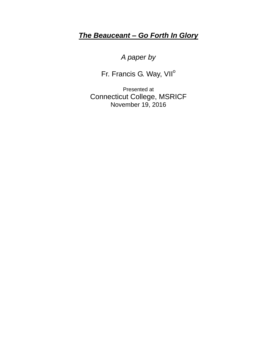## *The Beauceant – Go Forth In Glory*

*A paper by*

Fr. Francis G. Way, VII<sup>o</sup>

Presented at Connecticut College, MSRICF November 19, 2016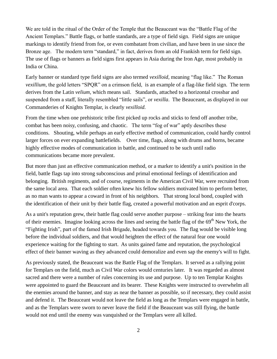We are told in the ritual of the Order of the Temple that the Beauceant was the "Battle Flag of the Ancient Templars." Battle flags, or battle standards, are a type of field sign. Field signs are unique markings to identify friend from foe, or even combatant from civilian, and have been in use since the Bronze age. The modern term "standard," in fact, derives from an old Frankish term for field sign. The use of flags or banners as field signs first appears in Asia during the Iron Age, most probably in India or China.

Early banner or standard type field signs are also termed *vexilloid,* meaning "flag like." The Roman *vexillium,* the gold letters "SPQR" on a crimson field, is an example of a flag-like field sign. The term derives from the Latin *velium,* which means sail. Standards, attached to a horizontal crossbar and suspended from a staff, literally resembled "little sails", or *vexilla*. The Beauceant, as displayed in our Commanderies of Knights Templar, is clearly *vexilloid.*

From the time when one prehistoric tribe first picked up rocks and sticks to fend off another tribe, combat has been noisy, confusing, and chaotic. The term "fog of war" aptly describes these conditions. Shouting, while perhaps an early effective method of communication, could hardly control larger forces on ever expanding battlefields. Over time, flags, along with drums and horns, became highly effective modes of communication in battle, and continued to be such until radio communications became more prevalent.

But more than just an effective communication method, or a marker to identify a unit's position in the field, battle flags tap into strong subconscious and primal emotional feelings of identification and belonging. British regiments, and of course, regiments in the American Civil War, were recruited from the same local area. That each soldier often knew his fellow soldiers motivated him to perform better, as no man wants to appear a coward in front of his neighbors. That strong local bond, coupled with the identification of their unit by their battle flag, created a powerful motivation and an esprit d'corps.

As a unit's reputation grew, their battle flag could serve another purpose – striking fear into the hearts of their enemies. Imagine looking across the lines and seeing the battle flag of the 69<sup>th</sup> New York, the "Fighting Irish", part of the famed Irish Brigade, headed towards you. The flag would be visible long before the individual soldiers, and that would heighten the effect of the natural fear one would experience waiting for the fighting to start. As units gained fame and reputation, the psychological effect of their banner waving as they advanced could demoralize and even sap the enemy's will to fight.

As previously stated, the Beauceant was the Battle Flag of the Templars. It served as a rallying point for Templars on the field, much as Civil War colors would centuries later. It was regarded as almost sacred and there were a number of rules concerning its use and purpose. Up to ten Templar Knights were appointed to guard the Beauceant and its bearer. These Knights were instructed to overwhelm all the enemies around the banner, and stay as near the banner as possible, so if necessary, they could assist and defend it. The Beauceant would not leave the field as long as the Templars were engaged in battle, and as the Templars were sworn to never leave the field if the Beauceant was still flying, the battle would not end until the enemy was vanquished or the Templars were all killed.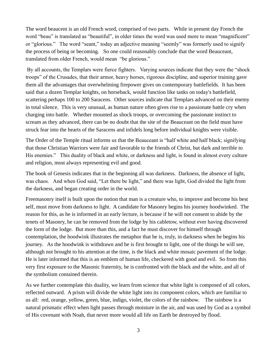The word beaucent is an old French word, comprised of two parts. While in present day French the word "beau" is translated as "beautiful", in older times the word was used more to mean "magnificent" or "glorious." The word "seant," today an adjective meaning "seemly" was formerly used to signify the process of being or becoming. So one could reasonably conclude that the word Beauceant, translated from older French, would mean "be glorious."

By all accounts, the Templars were fierce fighters. Varying sources indicate that they were the "shock troops" of the Crusades, that their armor, heavy horses, rigorous discipline, and superior training gave them all the advantages that overwhelming firepower gives on contemporary battlefields. It has been said that a dozen Templar knights, on horseback, would function like tanks on today's battlefield, scattering perhaps 100 to 200 Saracens. Other sources indicate that Templars advanced on their enemy in total silence. This is very unusual, as human nature often gives rise to a passionate battle cry when charging into battle. Whether mounted as shock troops, or overcoming the passionate instinct to scream as they advanced, there can be no doubt that the site of the Beauceant on the field must have struck fear into the hearts of the Saracens and infidels long before individual knights were visible.

The Order of the Temple ritual informs us that the Beauceant is "half white and half black; signifying that those Christian Warriors were fair and favorable to the friends of Christ, but dark and terrible to His enemies." This duality of black and white, or darkness and light, is found in almost every culture and religion, most always representing evil and good.

The book of Genesis indicates that in the beginning all was darkness. Darkness, the absence of light, was chaos. And when God said, "Let there be light," and there was light, God divided the light from the darkness, and began creating order in the world.

Freemasonry itself is built upon the notion that man is a creature who, to improve and become his best self, must move from darkness to light. A candidate for Masonry begins his journey hoodwinked. The reason for this, as he is informed in an early lecture, is because if he will not consent to abide by the tenets of Masonry, he can be removed from the lodge by his cabletow, without ever having discovered the form of the lodge. But more than this, and a fact he must discover for himself through contemplation, the hoodwink illustrates the metaphor that he is, truly, in darkness when he begins his journey. As the hoodwink is withdrawn and he is first brought to light, one of the things he will see, although not brought to his attention at the time, is the black and white mosaic pavement of the lodge. He is later informed that this is an emblem of human life, checkered with good and evil. So from this very first exposure to the Masonic fraternity, he is confronted with the black and the white, and all of the symbolism contained therein.

As we further contemplate this duality, we learn from science that white light is composed of all colors, reflected outward. A prism will divide the white light into its component colors, which are familiar to us all: red, orange, yellow, green, blue, indigo, violet, the colors of the rainbow. The rainbow is a natural prismatic effect when light passes through moisture in the air, and was used by God as a symbol of His covenant with Noah, that never more would all life on Earth be destroyed by flood.